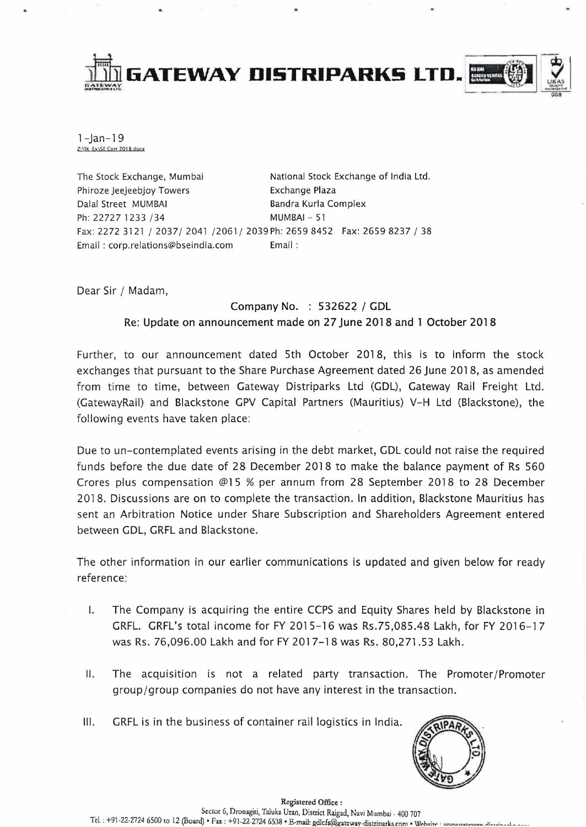

 $1 - \tan - 19$ Z:\St. Ex\SE Corr 2018.docx

The Stock Exchange, Mumbai National Stock Exchange of India Ltd. Phiroze Jeejeebjoy Towers **Exchange Plaza** Dalal Street MUMBAI Bandra Kurla Complex Ph: 22727 1233 / 34 MUMBAI - 51 Fax: 2272 3121/2037/2041/2061/ 2039Ph: 26598452 Fax: 26598237/38 Email: corp.relations@bseindia.com Email:

Dear Sir / Madam,

## Company No. : 532622 / GDL Re: Update on announcement made on 27 June 2018 and 1 October 2018

Further, to our announcement dated 5th October 2018, this is to inform the stock exchanges that pursuant to the Share Purchase Agreement dated 26 June 2018, as amended from time to time, between Gateway Distriparks Ltd (GDL), Gateway Rail Freight Ltd. (GatewayRail) and Blackstone GPV Capital Partners (Mauritius) V-H Ltd (Blackstone), the following events have taken place:

Due to un-contemplated events arising in the debt market, GDL could not raise the required funds before the due date of 28 December 2018 to make the balance payment of Rs 560 Crores plus compensation @15 % per annum from 28 September 2018 to 28 December 2018. Discussions are on to complete the transaction. In addition, Blackstone Mauritius has sent an Arbitration Notice under Share Subscription and Shareholders Agreement entered between GDL, GRFL and Blackstone.

The other information in our earlier communications is updated and given below for ready reference:

- I. The Company is acquiring the entire CCPS and Equity Shares held by Blackstone in GRFL. GRFL's total income for FY 2015-16 was Rs.75,085.48 Lakh, for FY 2016-17 was Rs. 76,096.00 Lakh and for FY 2017-18 was Rs. 80,271.53 Lakh.
- II. The acquisition is not a related party transaction. The Promoter/Promoter group/group companies do not have any interest in the transaction.
- III. GRFL is in the business of container rail logistics in India.